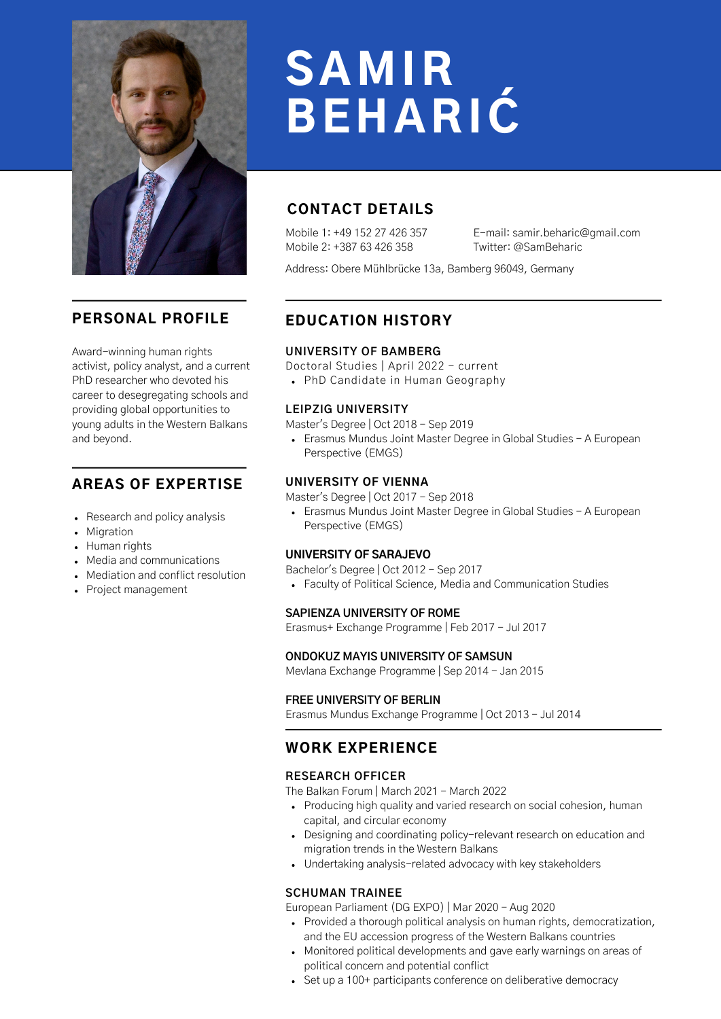

# PERSONAL PROFILE

Award-winning human rights activist, policy analyst, and a current PhD researcher who devoted his career to desegregating schools and providing global opportunities to young adults in the Western Balkans and beyond.

## AREAS OF EXPERTISE

- Research and policy analysis
- Migration
- Human rights
- Media and communications
- Mediation and conflict resolution
- Project management

# SAMIR BEHARIĆ

# CONTACT DETAILS

Mobile 1: +49 152 27 426 357 Mobile 2: +387 63 426 358

E-mail: samir.beharic@gmail.com Twitter: @SamBeharic

Address: Obere Mühlbrücke 13a, Bamberg 96049, Germany

# EDUCATION HISTORY

#### **UNIVERSITY OF BAMBERG**

Doctoral Studies | April 2022 - current

PhD Candidate in Human Geography

#### **LEIPZIG UNIVERSITY**

Master's Degree | Oct 2018 - Sep 2019

Erasmus Mundus Joint Master Degree in Global Studies - A European Perspective (EMGS)

#### **UNIVERSITY OF VIENNA**

Master's Degree | Oct 2017 - Sep 2018

Erasmus Mundus Joint Master Degree in Global Studies - A European Perspective (EMGS)

#### **UNIVERSITY OF SARAJEVO**

Bachelor's Degree | Oct 2012 - Sep 2017

Faculty of Political Science, Media and Communication Studies

#### **SAPIENZA UNIVERSITY OF ROME**

Erasmus+ Exchange Programme | Feb 2017 - Jul 2017

#### **ONDOKUZ MAYIS UNIVERSITY OF SAMSUN**

Mevlana Exchange Programme | Sep 2014 - Jan 2015

#### **FREE UNIVERSITY OF BERLIN**

Erasmus Mundus Exchange Programme | Oct 2013 - Jul 2014

# WORK EXPERIENCE

#### **RESEARCH OFFICER**

The Balkan Forum | March 2021 - March 2022

- Producing high quality and varied research on social cohesion, human capital, and circular economy
- Designing and coordinating policy-relevant research on education and migration trends in the Western Balkans
- Undertaking analysis-related advocacy with key stakeholders

#### **SCHUMAN TRAINEE**

European Parliament (DG EXPO) | Mar 2020 - Aug 2020

- Provided a thorough political analysis on human rights, democratization, and the EU accession progress of the Western Balkans countries
- Monitored political developments and gave early warnings on areas of political concern and potential conflict
- Set up a 100+ participants conference on deliberative democracy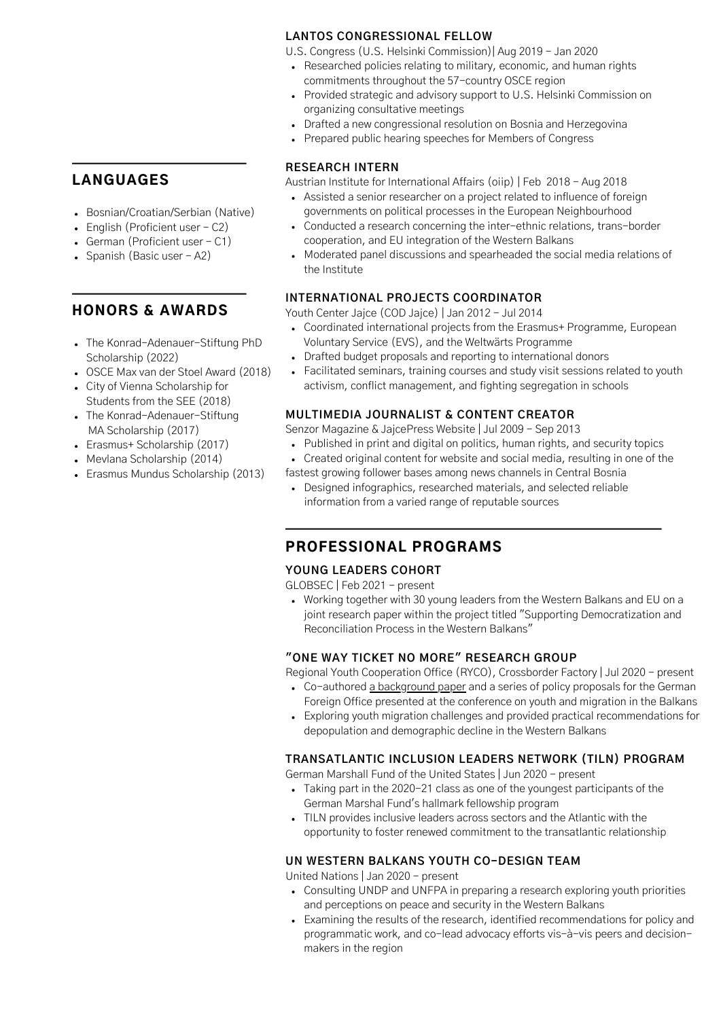## LANGUAGES

- Bosnian/Croatian/Serbian (Native)
- $\bullet$  English (Proficient user  $-$  C2)
- German (Proficient user  $C1$ )
- Spanish (Basic user A2)

## HONORS & AWARDS

- The Konrad-Adenauer-Stiftung PhD Scholarship (2022)
- OSCE Max van der Stoel Award (2018)
- City of Vienna Scholarship for Students from the SEE (2018)
- The Konrad-Adenauer-Stiftung MA Scholarship (2017)
- Erasmus+ Scholarship (2017)
- Mevlana Scholarship (2014)
- Erasmus Mundus Scholarship (2013)

#### **LANTOS CONGRESSIONAL FELLOW**

U.S. Congress (U.S. Helsinki Commission)| Aug 2019 - Jan 2020

- Researched policies relating to military, economic, and human rights commitments throughout the 57-country OSCE region
- Provided strategic and advisory support to U.S. Helsinki Commission on organizing consultative meetings
- Drafted a new congressional resolution on Bosnia and Herzegovina
- Prepared public hearing speeches for Members of Congress

#### **RESEARCH INTERN**

Austrian Institute for International Affairs (oiip) | Feb 2018 - Aug 2018

- Assisted a senior researcher on a project related to influence of foreign governments on political processes in the European Neighbourhood
- Conducted a research concerning the inter-ethnic relations, trans-border cooperation, and EU integration of the Western Balkans
- Moderated panel discussions and spearheaded the social media relations of the Institute

#### **INTERNATIONAL PROJECTS COORDINATOR**

Youth Center Jajce (COD Jajce) | Jan 2012 - Jul 2014

- Coordinated international projects from the Erasmus+ Programme, European Voluntary Service (EVS), and the Weltwärts Programme
- Drafted budget proposals and reporting to international donors
- Facilitated seminars, training courses and study visit sessions related to youth activism, conflict management, and fighting segregation in schools

#### **MULTIMEDIA JOURNALIST & CONTENT CREATOR**

Senzor Magazine & JajcePress Website | Jul 2009 - Sep 2013

- Published in print and digital on politics, human rights, and security topics
- Created original content for website and social media, resulting in one of the
- fastest growing follower bases among news channels in Central Bosnia
	- Designed infographics, researched materials, and selected reliable information from a varied range of reputable sources

# PROFESSIONAL PROGRAMS

#### **YOUNG LEADERS COHORT**

GLOBSEC | Feb 2021 - present

Working together with 30 young leaders from the Western Balkans and EU on a joint research paper within the project titled "Supporting Democratization and Reconciliation Process in the Western Balkans"

## **"ONE WAY TICKET NO MORE" RESEARCH GROUP**

Regional Youth Cooperation Office (RYCO), Crossborder Factory | Jul 2020 - present

- Co-authored [a background paper](https://www.rycowb.org/wp-content/uploads/2020/10/One-Way-Ticket-Not-More-Seven-Ideas-for-a-Prosperous-Western-Balkans.pdf) and a series of policy proposals for the German Foreign Office presented at the conference on youth and migration in the Balkans
- Exploring youth migration challenges and provided practical recommendations for depopulation and demographic decline in the Western Balkans

#### **TRANSATLANTIC INCLUSION LEADERS NETWORK (TILN) PROGRAM**

German Marshall Fund of the United States | Jun 2020 - present

- Taking part in the 2020-21 class as one of the youngest participants of the German Marshal Fund's hallmark fellowship program
- TILN provides inclusive leaders across sectors and the Atlantic with the opportunity to foster renewed commitment to the transatlantic relationship

#### **UN WESTERN BALKANS YOUTH CO-DESIGN TEAM**

United Nations | Jan 2020 - present

- Consulting UNDP and UNFPA in preparing a research exploring youth priorities and perceptions on peace and security in the Western Balkans
- Examining the results of the research, identified recommendations for policy and programmatic work, and co-lead advocacy efforts vis-à-vis peers and decisionmakers in the region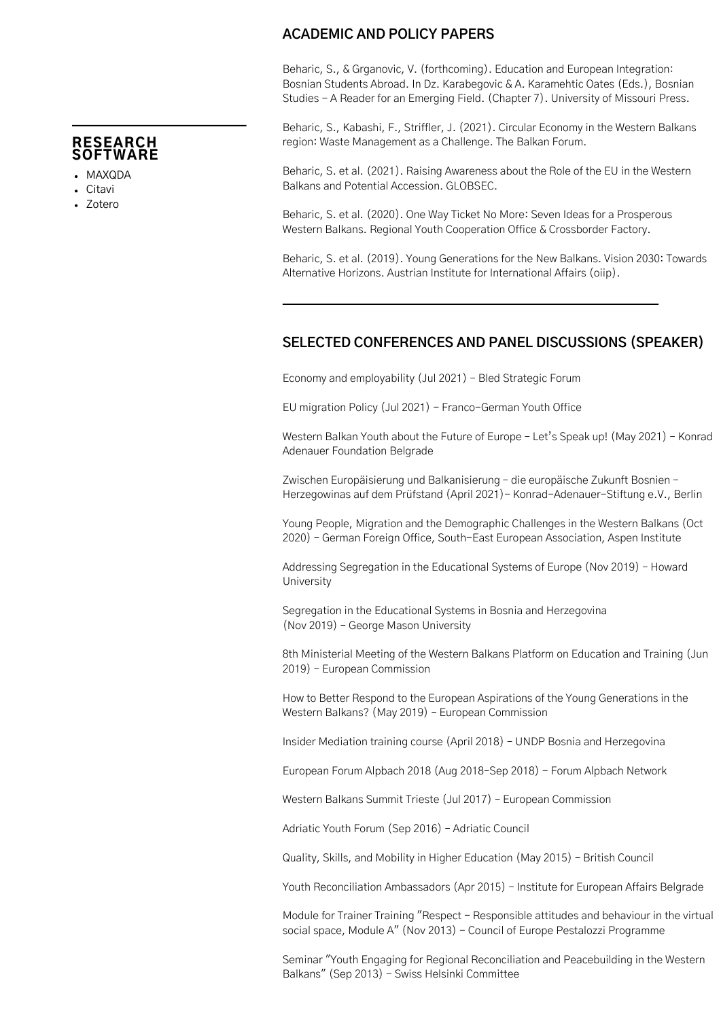#### RESEARCH **SOFTWARE**

- MAXQDA
- Citavi
- Zotero

## **ACADEMIC AND POLICY PAPERS**

Beharic, S., & Grganovic, V. (forthcoming). Education and European Integration: Bosnian Students Abroad. In Dz. Karabegovic & A. Karamehtic Oates (Eds.), Bosnian Studies - A Reader for an Emerging Field. (Chapter 7). University of Missouri Press.

Beharic, S., Kabashi, F., Striffler, J. (2021). Circular Economy in the Western Balkans region: Waste Management as a Challenge. The Balkan Forum.

Beharic, S. et al. (2021). Raising Awareness about the Role of the EU in the Western Balkans and Potential Accession. GLOBSEC.

Beharic, S. et al. (2020). One Way Ticket No More: Seven Ideas for a Prosperous Western Balkans. Regional Youth Cooperation Office & Crossborder Factory.

Beharic, S. et al. (2019). Young Generations for the New Balkans. Vision 2030: Towards Alternative Horizons. Austrian Institute for International Affairs (oiip).

## **SELECTED CONFERENCES AND PANEL DISCUSSIONS (SPEAKER)**

Economy and employability (Jul 2021) – Bled Strategic Forum

EU migration Policy (Jul 2021) - Franco-German Youth Office

Western Balkan Youth about the Future of Europe – Let's Speak up! (May 2021) – Konrad Adenauer Foundation Belgrade

Zwischen Europäisierung und Balkanisierung – die europäische Zukunft Bosnien - Herzegowinas auf dem Prüfstand (April 2021)- Konrad-Adenauer-Stiftung e.V., Berlin

Young People, Migration and the Demographic Challenges in the Western Balkans (Oct 2020) – German Foreign Office, South-East European Association, Aspen Institute

Addressing Segregation in the Educational Systems of Europe (Nov 2019) – Howard University

Segregation in the Educational Systems in Bosnia and Herzegovina (Nov 2019) – George Mason University

8th Ministerial Meeting of the Western Balkans Platform on Education and Training (Jun 2019) – European Commission

How to Better Respond to the European Aspirations of the Young Generations in the Western Balkans? (May 2019) – European Commission

Insider Mediation training course (April 2018) – UNDP Bosnia and Herzegovina

European Forum Alpbach 2018 (Aug 2018–Sep 2018) - Forum Alpbach Network

Western Balkans Summit Trieste (Jul 2017) – European Commission

Adriatic Youth Forum (Sep 2016) – Adriatic Council

Quality, Skills, and Mobility in Higher Education (May 2015) – British Council

Youth Reconciliation Ambassadors (Apr 2015) – Institute for European Affairs Belgrade

Module for Trainer Training "Respect - Responsible attitudes and behaviour in the virtual social space, Module A" (Nov 2013) - Council of Europe Pestalozzi Programme

Seminar "Youth Engaging for Regional Reconciliation and Peacebuilding in the Western Balkans" (Sep 2013) - Swiss Helsinki Committee